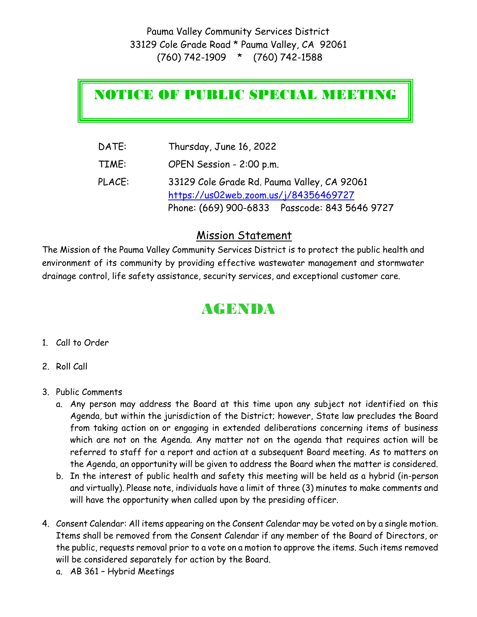## NOTICE OF PUBLIC SPECIAL MEETING

| DATE:  | Thursday, June 16, 2022                        |
|--------|------------------------------------------------|
| TIME:  | OPEN Session - 2:00 p.m.                       |
| PLACE: | 33129 Cole Grade Rd. Pauma Valley, CA 92061    |
|        | https://us02web.zoom.us/j/84356469727          |
|        | Phone: (669) 900-6833  Passcode: 843 5646 9727 |

## Mission Statement

The Mission of the Pauma Valley Community Services District is to protect the public health and environment of its community by providing effective wastewater management and stormwater drainage control, life safety assistance, security services, and exceptional customer care.

## AGENDA

- 1. Call to Order
- 2. Roll Call
- 3. Public Comments
	- a. Any person may address the Board at this time upon any subject not identified on this Agenda, but within the jurisdiction of the District; however, State law precludes the Board from taking action on or engaging in extended deliberations concerning items of business which are not on the Agenda. Any matter not on the agenda that requires action will be referred to staff for a report and action at a subsequent Board meeting. As to matters on the Agenda, an opportunity will be given to address the Board when the matter is considered.
	- b. In the interest of public health and safety this meeting will be held as a hybrid (in-person and virtually). Please note, individuals have a limit of three (3) minutes to make comments and will have the opportunity when called upon by the presiding officer.
- 4. Consent Calendar: All items appearing on the Consent Calendar may be voted on by a single motion. Items shall be removed from the Consent Calendar if any member of the Board of Directors, or the public, requests removal prior to a vote on a motion to approve the items. Such items removed will be considered separately for action by the Board.
	- a. AB 361 Hybrid Meetings